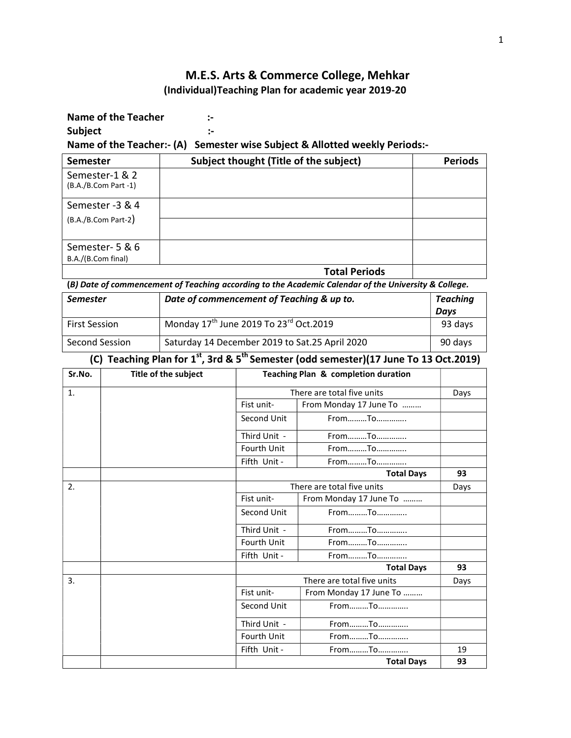## M.E.S. Arts & Commerce College, Mehkar (Individual)Teaching Plan for academic year 2019-20

Name of the Teacher :-Subject :- the state of the state of the state of the state of the state of the state of the state of the state of the state of the state of the state of the state of the state of the state of the state of the state of the

Name of the Teacher:- (A) Semester wise Subject & Allotted weekly Periods:-

| <b>Semester</b>                        | Subject thought (Title of the subject) | <b>Periods</b> |  |
|----------------------------------------|----------------------------------------|----------------|--|
| Semester-1 & 2<br>(B.A./B.Com Part -1) |                                        |                |  |
| Semester -3 & 4                        |                                        |                |  |
| $(B.A./B.Com Part-2)$                  |                                        |                |  |
| Semester- 5 & 6                        |                                        |                |  |
| B.A./(B.Com final)                     |                                        |                |  |
|                                        | <b>Total Periods</b>                   |                |  |

(B) Date of commencement of Teaching according to the Academic Calendar of the University & College.

| <b>Semester</b>      | Date of commencement of Teaching & up to.                      | <b>Teaching</b><br>Davs |
|----------------------|----------------------------------------------------------------|-------------------------|
| <b>First Session</b> | Monday $17^{\text{th}}$ June 2019 To 23 <sup>rd</sup> Oct.2019 | 93 days                 |
| Second Session       | Saturday 14 December 2019 to Sat.25 April 2020                 | 90 days                 |

(C) Teaching Plan for  $1^{st}$ , 3rd &  $5^{th}$  Semester (odd semester)(17 June To 13 Oct.2019)

| Sr.No. | Title of the subject | Teaching Plan & completion duration |                            |      |
|--------|----------------------|-------------------------------------|----------------------------|------|
| 1.     |                      |                                     | There are total five units |      |
|        |                      | Fist unit-                          | From Monday 17 June To     |      |
|        |                      | Second Unit                         | FromTo                     |      |
|        |                      | Third Unit -                        | FromTo                     |      |
|        |                      | <b>Fourth Unit</b>                  | FromTo                     |      |
|        |                      | Fifth Unit -                        | FromTo                     |      |
|        |                      |                                     | <b>Total Days</b>          | 93   |
| 2.     |                      |                                     | There are total five units | Days |
|        |                      | Fist unit-                          | From Monday 17 June To     |      |
|        |                      | Second Unit                         | FromTo                     |      |
|        |                      | Third Unit -                        | FromTo                     |      |
|        |                      | Fourth Unit                         | FromTo                     |      |
|        |                      | Fifth Unit -                        | FromTo                     |      |
|        |                      |                                     | <b>Total Days</b>          | 93   |
| 3.     |                      |                                     | There are total five units | Days |
|        |                      | Fist unit-                          | From Monday 17 June To     |      |
|        |                      | Second Unit                         | FromTo                     |      |
|        |                      | Third Unit -                        | FromTo                     |      |
|        |                      | <b>Fourth Unit</b>                  | FromTo                     |      |
|        |                      | Fifth Unit -                        | FromTo                     | 19   |
|        |                      |                                     | <b>Total Days</b>          | 93   |